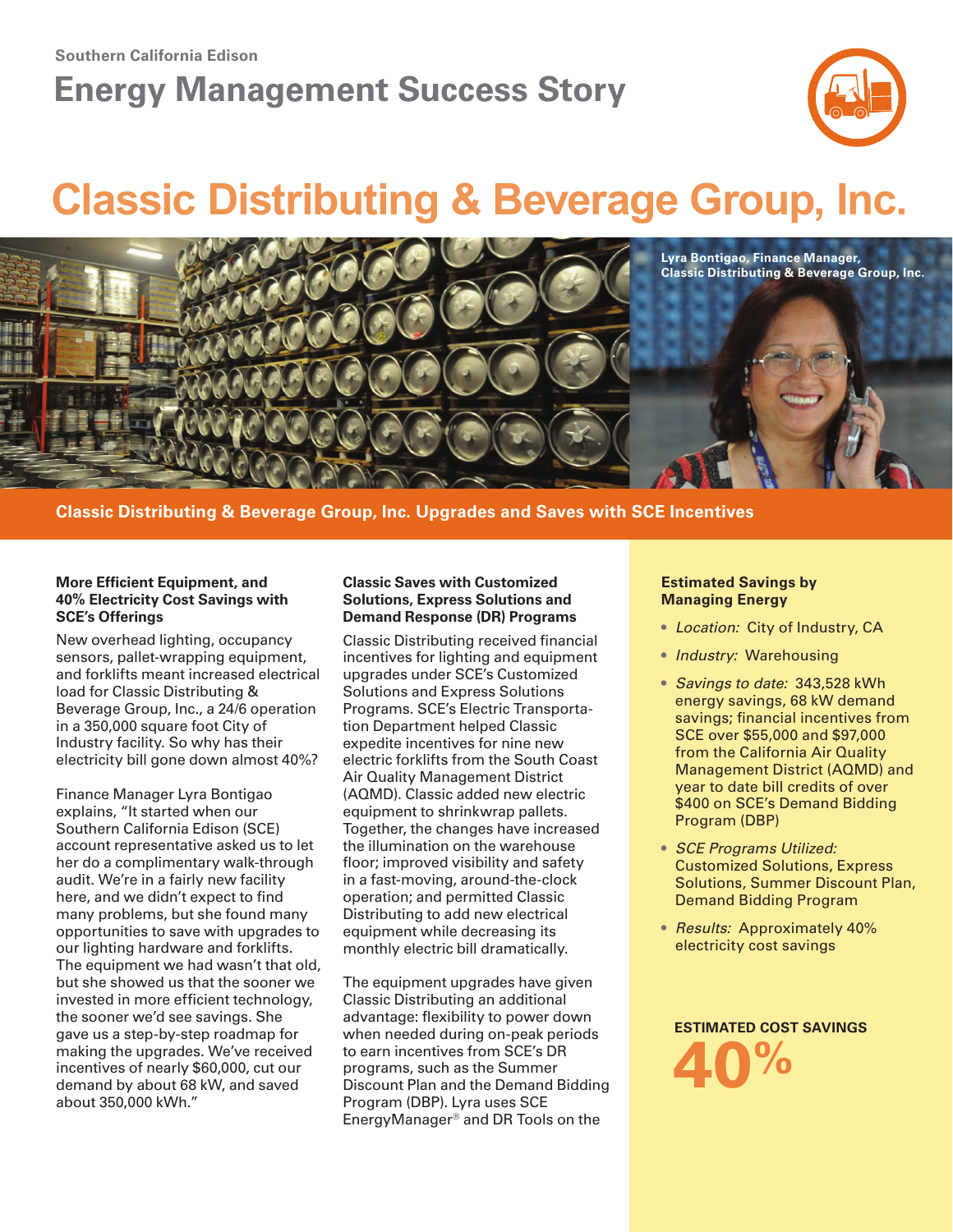### **Southern California Edison**

# **Energy Management Success Story**



# **Classic Distributing & Beverage Group, Inc.**



### **Classic Distributing & Beverage Group, Inc. Upgrades and Saves with SCE Incentives**

### **More Efficient Equipment, and 40% Electricity Cost Savings with SCE's Offerings**

New overhead lighting, occupancy sensors, pallet-wrapping equipment, and forklifts meant increased electrical load for Classic Distributing & Beverage Group, Inc., a 24/6 operation in a 350,000 square foot City of Industry facility. So why has their electricity bill gone down almost 40%?

Finance Manager Lyra Bontigao explains, "It started when our Southern California Edison (SCE) account representative asked us to let her do a complimentary walk-through audit. We're in a fairly new facility here, and we didn't expect to find many problems, but she found many opportunities to save with upgrades to our lighting hardware and forklifts. The equipment we had wasn't that old, but she showed us that the sooner we invested in more efficient technology, the sooner we'd see savings. She gave us a step-by-step roadmap for making the upgrades. We've received incentives of nearly \$60,000, cut our demand by about 68 kW, and saved about 350,000 kWh."

### **Classic Saves with Customized Solutions, Express Solutions and Demand Response (DR) Programs**

Classic Distributing received financial incentives for lighting and equipment upgrades under SCE's Customized Solutions and Express Solutions Programs. SCE's Electric Transportation Department helped Classic expedite incentives for nine new electric forklifts from the South Coast Air Quality Management District (AQMD). Classic added new electric equipment to shrinkwrap pallets. Together, the changes have increased the illumination on the warehouse floor; improved visibility and safety in a fast-moving, around-the-clock operation; and permitted Classic Distributing to add new electrical equipment while decreasing its monthly electric bill dramatically.

The equipment upgrades have given Classic Distributing an additional advantage: flexibility to power down when needed during on-peak periods to earn incentives from SCE's DR programs, such as the Summer Discount Plan and the Demand Bidding Program (DBP). Lyra uses SCE EnergyManager® and DR Tools on the

### **Estimated Savings by Managing Energy**

- *Location:* City of Industry, CA
- *Industry:* Warehousing
- *Savings to date:* 343,528 kWh energy savings, 68 kW demand savings; financial incentives from SCE over \$55,000 and \$97,000 from the California Air Quality Management District (AQMD) and year to date bill credits of over \$400 on SCE's Demand Bidding Program (DBP)
- *SCE Programs Utilized:* Customized Solutions, Express Solutions, Summer Discount Plan, Demand Bidding Program
- *Results:* Approximately 40% electricity cost savings

**Estimated COST savings 40%**